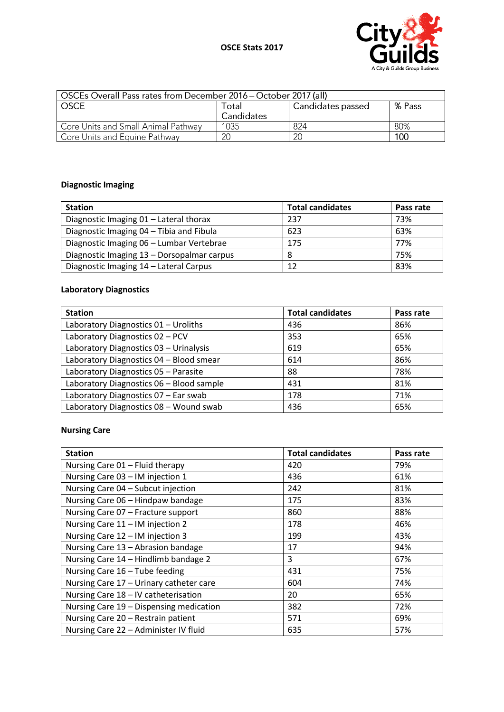

| OSCEs Overall Pass rates from December 2016 – October 2017 (all) |            |                   |        |
|------------------------------------------------------------------|------------|-------------------|--------|
| <b>OSCE</b>                                                      | Total      | Candidates passed | % Pass |
|                                                                  | Candidates |                   |        |
| Core Units and Small Animal Pathway                              | 1035       | 824               | 80%    |
| Core Units and Equine Pathway                                    | 20         | 20                | 100    |

# **Diagnostic Imaging**

| <b>Station</b>                             | <b>Total candidates</b> | Pass rate |
|--------------------------------------------|-------------------------|-----------|
| Diagnostic Imaging 01 - Lateral thorax     | 237                     | 73%       |
| Diagnostic Imaging 04 - Tibia and Fibula   | 623                     | 63%       |
| Diagnostic Imaging 06 - Lumbar Vertebrae   | 175                     | 77%       |
| Diagnostic Imaging 13 - Dorsopalmar carpus | -8                      | 75%       |
| Diagnostic Imaging 14 - Lateral Carpus     | 12                      | 83%       |

## **Laboratory Diagnostics**

| <b>Station</b>                           | <b>Total candidates</b> | Pass rate |
|------------------------------------------|-------------------------|-----------|
| Laboratory Diagnostics 01 - Uroliths     | 436                     | 86%       |
| Laboratory Diagnostics 02 - PCV          | 353                     | 65%       |
| Laboratory Diagnostics 03 - Urinalysis   | 619                     | 65%       |
| Laboratory Diagnostics 04 - Blood smear  | 614                     | 86%       |
| Laboratory Diagnostics 05 - Parasite     | 88                      | 78%       |
| Laboratory Diagnostics 06 - Blood sample | 431                     | 81%       |
| Laboratory Diagnostics 07 - Ear swab     | 178                     | 71%       |
| Laboratory Diagnostics 08 - Wound swab   | 436                     | 65%       |

#### **Nursing Care**

| <b>Station</b>                          | <b>Total candidates</b> | Pass rate |
|-----------------------------------------|-------------------------|-----------|
| Nursing Care 01 - Fluid therapy         | 420                     | 79%       |
| Nursing Care 03 - IM injection 1        | 436                     | 61%       |
| Nursing Care 04 - Subcut injection      | 242                     | 81%       |
| Nursing Care 06 - Hindpaw bandage       | 175                     | 83%       |
| Nursing Care 07 - Fracture support      | 860                     | 88%       |
| Nursing Care 11 - IM injection 2        | 178                     | 46%       |
| Nursing Care 12 - IM injection 3        | 199                     | 43%       |
| Nursing Care 13 - Abrasion bandage      | 17                      | 94%       |
| Nursing Care 14 - Hindlimb bandage 2    | 3                       | 67%       |
| Nursing Care 16 - Tube feeding          | 431                     | 75%       |
| Nursing Care 17 - Urinary catheter care | 604                     | 74%       |
| Nursing Care 18 - IV catheterisation    | 20                      | 65%       |
| Nursing Care 19 - Dispensing medication | 382                     | 72%       |
| Nursing Care 20 - Restrain patient      | 571                     | 69%       |
| Nursing Care 22 - Administer IV fluid   | 635                     | 57%       |